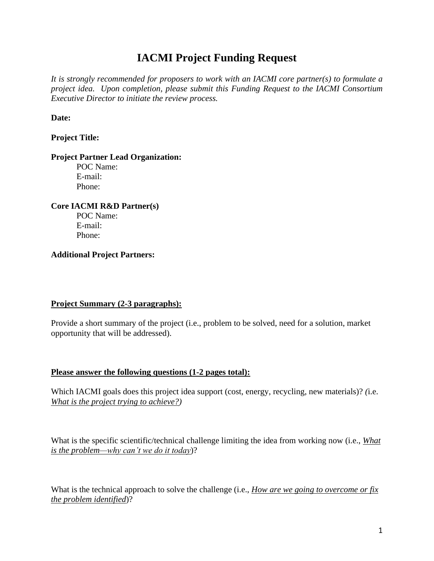# **IACMI Project Funding Request**

*It is strongly recommended for proposers to work with an IACMI core partner(s) to formulate a project idea. Upon completion, please submit this Funding Request to the IACMI Consortium Executive Director to initiate the review process.* 

**Date:**

### **Project Title:**

#### **Project Partner Lead Organization:**

POC Name: E-mail: Phone:

# **Core IACMI R&D Partner(s)** POC Name:

E-mail: Phone:

## **Additional Project Partners:**

## **Project Summary (2-3 paragraphs):**

Provide a short summary of the project (i.e., problem to be solved, need for a solution, market opportunity that will be addressed).

## **Please answer the following questions (1-2 pages total):**

Which IACMI goals does this project idea support (cost, energy, recycling, new materials)? *(*i.e. *What is the project trying to achieve?)*

What is the specific scientific/technical challenge limiting the idea from working now (i.e., *What is the problem—why can't we do it today*)?

What is the technical approach to solve the challenge (i.e., *How are we going to overcome or fix the problem identified*)?